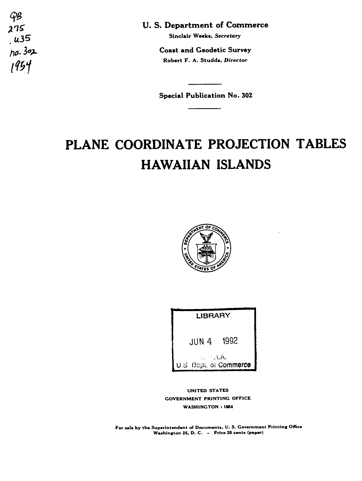$\mathcal{G}\mathcal{B}$  $275$  $. u35$  $ho.302$  $1954$ 

U.S. Department of Commerce

Sinclair Weeks, Secretary

**Coast and Geodetic Survey** Robert F. A. Studds, Director

**Special Publication No. 302** 

## PLANE COORDINATE PROJECTION TABLES **HAWAIIAN ISLANDS**





UNITED STATES **GOVERNMENT PRINTING OFFICE WASHINGTON: 1954** 

For sale by the Superintendent of Documents, U.S. Government Printing Office Washington 25, D. C. - Price 20 cents (paper)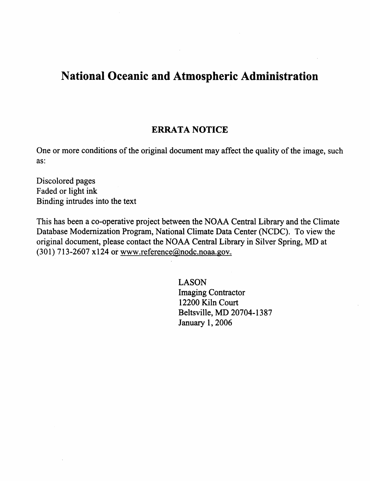# **National Oceanic and Atmospheric Administration**

## **ERRATA NOTICE**

One or more conditions of the original document **may** affect the quality of **the image,** such as:

Discolored **pages** 

Faded or light ink Binding intrudes into **the text** 

 $\sim 10^{11}$  m  $^{-1}$ 

This has been a co-operative project between the NOAA Central Library and the Climate Database Modernization Program, National Climate Data Center (NCDC). To view the original document, **please** contact the **NOAA** Central Library in **Silver Spring,** MD at (301) 713-2607 x124 or www.reference@nodc.noaa.gov.

> **LASON**  Imaging Contractor 12200 Kiln Court **Beltsville,** MD 20704- **1387 January 1,2006**

 $\mathcal{L}(\mathcal{L})$  and  $\mathcal{L}(\mathcal{L})$  are the set of the set of the set of the set of the set of the set of the set of the set of the set of the set of the set of the set of the set of the set of the set of the set of the set

the control of the control of the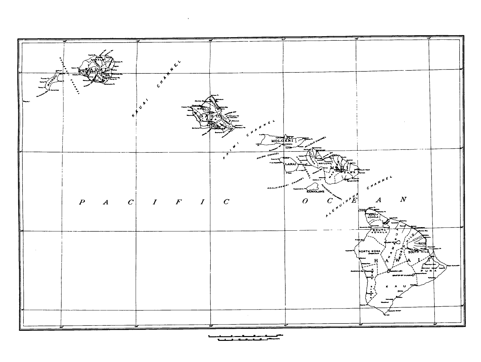

 $\mathcal{L}^{\text{max}}_{\text{max}}$  and  $\mathcal{L}^{\text{max}}_{\text{max}}$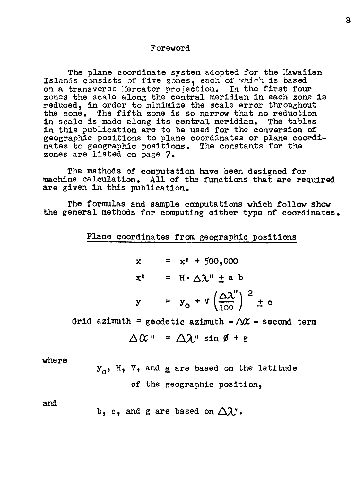#### Foreword

**The** plane coordinate system adopted for the Hawaiian Islands consists of five zones, each of which is based on a transverse Ibrcator projection, In the first four zones the scale along the central meridian in each zone is reduced, in order to minimize the scale error throughout the zone, **The** fifth **zone** is **so** narrow that no reduction in scale **is** made along its central meridian, **The** tables in this publication are to be used for **the** conversion of geographic positions to plane coordinates or plane coordinates to geographic positions. **The** constants for the zones are listed on page **7.** 

**The** methods of computation **have been** designed for machine calculation. All of the functions that are required **are** given in this publication.

**The** formulas and sample computations which follow **show the** general methods for computing either type of coordinates.

Plane coordinates from geographic positions

$$
x = x1 + 500,000
$$
  

$$
x1 = H \cdot \Delta \lambda'' \pm a b
$$
  

$$
y = y0 + V \left(\frac{\Delta \lambda''}{100}\right)^{2} \pm c
$$

Grid azimuth = geodetic azimuth  $-\Delta x$  - second term

$$
\Delta \alpha = \Delta \lambda^{\text{max}} \sin \phi + \epsilon
$$

where

 $\mathbf{y}_\mathrm{o},$  H, V, and <u>a</u> are based on the latitude of the geographic position,

and

b, c, and g are based on 
$$
\Delta \lambda
$$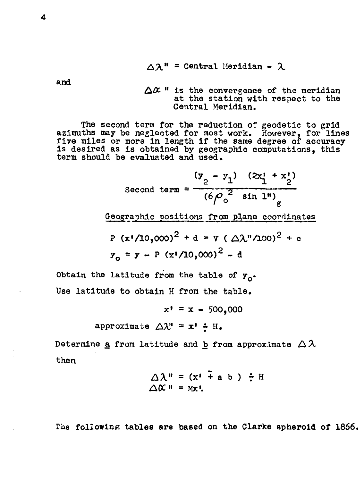$$
\Delta \lambda^{\mathsf{m}} = \text{Central Meridian} - \lambda
$$

**and** 

 $\Delta \alpha$ <sup>*n*</sup> is the convergence of the meridian at the station with respect to **the Central** Meridian.

The second term for the reduction of geodetic to grid azimuths may be neglected for most work. However, for lines five miles or more in length if the same degree of accuracy **is** desired **as** is obtained **by** geographic computations, this term shoula **be** evaluated and used.

Second term = 
$$
\frac{(y_2 - y_1) (2x_1^1 + x_2^1)}{(6\rho_o^2 \sin 1^n)}g
$$

Geographic positions from plane coordinates

P (x'/10,000)<sup>2</sup> + d = V ( Δλ″/100)<sup>2</sup> + c  

$$
y_0 = y - P (x'/10,000)^2 - d
$$

**Obtain** the **latitude from the** table of *yo.*  **Use** latitude to obtain H **from the table.** 

$$
x' = x - 500,000
$$

approximate 
$$
\triangle \lambda'' = x' \div H
$$
.

Determine <u>a</u> from latitude and **b** from approximate  $\Delta \lambda$ then

$$
\triangle \lambda'' = (x^* + a b) \div H
$$
  
 
$$
\triangle \alpha'' = Mx!
$$

**The following table8 are based on the Clarke spheroid of 1866,**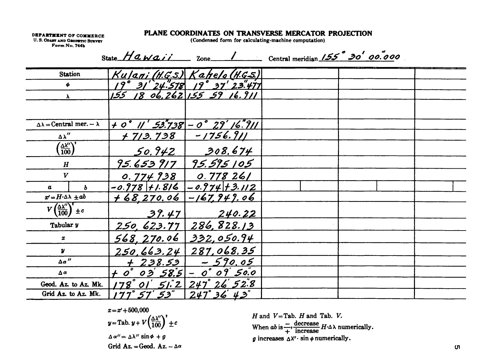#### PLANE COORDINATES ON TRANSVERSE MERCATOR PROJECTION

**DEPARTMENT OF COMMERCE** U.S. COAST AND GRODSTIC SURVEY Form No. 744b

 $\sim$   $\sim$ 

(Condensed form for calculating-machine computation)

| State $Hawaii$<br>$7$ one  | Central meridian $155°30'00.000$ |      |  |
|----------------------------|----------------------------------|------|--|
| $Kulani(HCS)$ Kahela (HCS) |                                  | ---- |  |

| Station                                               |                                                            | <u>Kujani (H.G.S.) Kahelo (H.G.S.)</u> |  |  |
|-------------------------------------------------------|------------------------------------------------------------|----------------------------------------|--|--|
| φ                                                     |                                                            | 19° 31' 24.578 19° 37' 23.477          |  |  |
| λ                                                     | 155                                                        | 18 06.262 155 59 16.911                |  |  |
|                                                       |                                                            |                                        |  |  |
|                                                       |                                                            |                                        |  |  |
| $\Delta \lambda =$ Central mer. - $\lambda$           | $+ 0^{\degree}$    $'$ 53.738 $- 0^{\degree}$ 29' 16." $7$ |                                        |  |  |
| $\Delta \lambda''$                                    | <u>+ 713.738</u>                                           | $-1756.911$                            |  |  |
| $\sqrt{\frac{\Delta \lambda''}{100}}$                 | <u>50.942 </u>                                             | 308.674                                |  |  |
| $\boldsymbol{H}$                                      | 95.653917                                                  | 95.595 105                             |  |  |
| V                                                     | 0.774938                                                   | 0.77826/                               |  |  |
| b<br>a                                                | $-0.978$ +1.816                                            | $-0.974$ + 3.112                       |  |  |
| $x'=H\cdot \Delta \lambda +ab$                        | <u>+68,270.06</u>                                          | $-167,949.06$                          |  |  |
| $V\left(\frac{\Delta\lambda''}{100}\right)^{t} \pm c$ | 39.47                                                      | 240.22                                 |  |  |
| Tabular y                                             | 250, 623.77                                                | 286,828.13                             |  |  |
| x                                                     | 568, 270.06                                                | 332,050.94                             |  |  |
| $\boldsymbol{y}$                                      | 250,663.24                                                 | 287,068.35                             |  |  |
| $\Delta \alpha$ "                                     | $+238.53$                                                  | $-590.05$                              |  |  |
| $\Delta$ $\alpha$                                     | † 0° 03' 58.5 - 0° 09' 50.0                                |                                        |  |  |
| Geod. Az. to Az. Mk.                                  | 178°01'51'2                                                | $247°$ $26'$ $52°8$                    |  |  |
| Grid Az. to Az. Mk.                                   | 77°57'53"                                                  | $247°36'$ $43"$                        |  |  |

$$
x = x' + 500,000
$$
  
\n
$$
y = \text{Tab. } y + V \left(\frac{\Delta \lambda''}{100}\right)^2 \pm c
$$
  
\n
$$
\Delta \alpha'' = \Delta \lambda'' \sin \phi + g
$$
  
\nGrid Az. = Geod. Az.  $-\Delta \alpha$ 

 $H$  and  $V =$ Tab.  $H$  and Tab.  $V$ . When  $ab$  is  $\frac{1}{+}$ , decrease  $H \cdot \Delta \lambda$  numerically. g increases  $\Delta X'$  · sin  $\phi$  numerically.

 $-$ 

T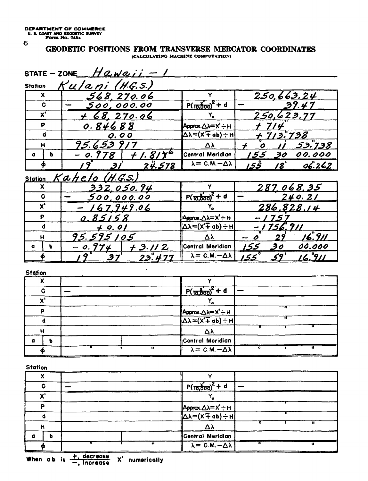#### GEODETIC POSITIONS FROM TRANSVERSE MERCATOR COORDINATES (CALCULATING MACHINE COMPUTATION)

| <b>Station</b>        | Kulani (H.G.S.)          |                                          |                  |                  |               |
|-----------------------|--------------------------|------------------------------------------|------------------|------------------|---------------|
| X                     | 568,270.06               | Y                                        |                  |                  | 250,663.24    |
| C                     | 500,000.00               | $P(\frac{1}{10,000})^2 + d$              |                  |                  | 39.47         |
| $\mathbf{x}^{\prime}$ | $+68,270.06$             | Y.                                       |                  |                  | 250,623.77    |
| P                     | 0.84688                  | <b>Арргох.∆<math>\lambda</math>=Х'÷н</b> |                  |                  |               |
| d                     | 0.00                     | Δλ=(X' <del>T</del> ab)÷H                |                  | 13.738           |               |
| $\mathbf H$           | 95.653917                | Δλ                                       | 0                |                  | <u>53.738</u> |
| ь<br>a                | 0.978<br><u>+ 1. 817</u> | Central Meridian                         | 155              | 30 <sup>7</sup>  | 00.000        |
| φ                     | <u>24.578</u><br>Э.      | $\lambda = C.M. - \Delta \lambda$        | ڭگا              | /8'              | 06.262        |
| <b>Station</b>        | Kahelo (H.G.S.)          |                                          |                  |                  |               |
| X                     | <u>332.050.94</u>        |                                          |                  |                  | 287.068.35    |
| C                     | <u>500,000.00</u>        | $P(\frac{1}{10,000})^2 + d$              |                  |                  | 240.21        |
| $\mathbf{x}^{\prime}$ | 67.949.06                |                                          |                  |                  | 286,828.14    |
| P                     | 0.85158                  | Αρριακ.Δλ=Χ'÷Η                           |                  | 1757             |               |
| d                     | $+ 0.01$                 | Δλ=(X'∓ ab)÷H                            |                  | <u>-1756.911</u> |               |
|                       | 95.595105                | Δλ                                       | $\boldsymbol{o}$ | 27               | <u>16.911</u> |
| н                     | - 0.974                  | <b>Central Meridian</b>                  |                  | 30               | 00.000        |
| a<br>ь                |                          |                                          |                  |                  | 16.911        |

| - - - |   |                                           |
|-------|---|-------------------------------------------|
| ^     |   |                                           |
|       |   | $P(\frac{1}{10,000})^2 + d$               |
| امہ   |   |                                           |
|       |   |                                           |
|       |   | $\sqrt{\Delta\lambda} = (X' + ab) \div H$ |
| н     |   | Δλ                                        |
| о     |   | Central Meridian                          |
|       | u | $\lambda = C.M. - \Delta \lambda$<br>n    |

**Station** 

| С      |                   | $P(\frac{1}{10,000})^2 + d$                                             |           |
|--------|-------------------|-------------------------------------------------------------------------|-----------|
| امە    |                   |                                                                         |           |
| D      |                   |                                                                         |           |
|        |                   | $\sqrt{\Delta\lambda=(X+\alpha b)+H}$<br>$\Delta\lambda=(X+\alpha b)+H$ |           |
|        |                   | Δλ                                                                      |           |
| b<br>α |                   | Central Meridian                                                        |           |
|        | $\bullet \bullet$ | $\lambda = C.M. - \Delta \lambda$<br>__                                 | $\bullet$ |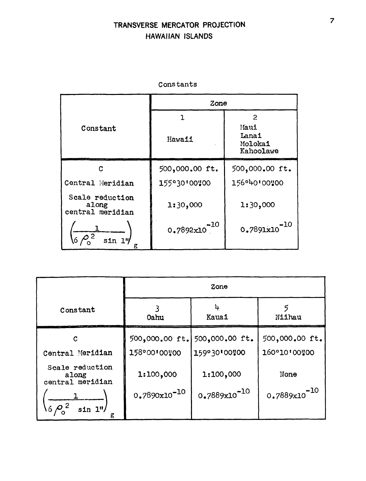#### TRANSVERSE MERCATOR PROJECTION HAWAIIAN ISLANDS

|                                              | Zone               |                                       |
|----------------------------------------------|--------------------|---------------------------------------|
|                                              | 1                  | 2                                     |
| Constant                                     | Hawaii             | Maui<br>Lanai<br>Molokai<br>Kahoolawe |
| C                                            | 500,000.00 ft.     | 500,000.00 ft.                        |
| Central Meridian                             | 155°30'00"00       | 156°40'00'00                          |
| Scale reduction<br>along<br>central meridian | 1:30,000           | 1:30,000                              |
| 6 <sup>1</sup><br>sin 1<br>g                 | $-10$<br>0.7892x10 | $-10$<br>0.7891x10                    |

Constants

|                                              | Zone              |                   |                   |  |  |  |
|----------------------------------------------|-------------------|-------------------|-------------------|--|--|--|
| Constant                                     | 0ahu              | 4<br>Kauai        | Niihau            |  |  |  |
| C                                            | 500,000.00 ft.    | 500,000.00 ft.    | 500,000.00 ft.    |  |  |  |
| Central Meridian                             | 158°00'00"00      | 159°30'00'00      | 160°10'00"00      |  |  |  |
| Scale reduction<br>along<br>central meridian | 1:100,000         | 1:100,000         | None              |  |  |  |
| $16 \rho^2$<br>$\sin 1$ "/<br>g              | $0.7890x10^{-10}$ | $0.7889x10^{-10}$ | $0.7889x10^{-10}$ |  |  |  |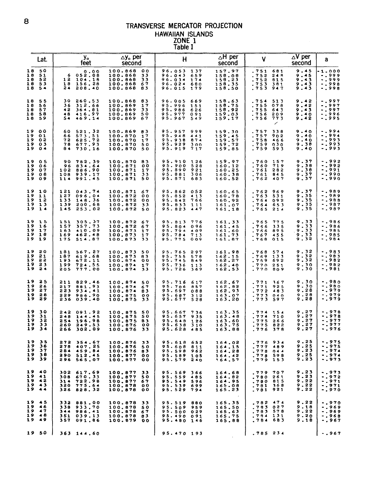## *8* TRANSVERSE MERCATOR PROJECTION HAWAIIAN ISLANDS ZONE 1

|                            |                                        |                                 |                                                    |                                                                                                        | TRANSVERSE MERCATOR PROJECTION<br><b>HAWAIIAN ISLANDS</b><br>ZONE 1<br><b>Table I</b>     |                                                |                                                                                    |                                                                                                  |  |
|----------------------------|----------------------------------------|---------------------------------|----------------------------------------------------|--------------------------------------------------------------------------------------------------------|-------------------------------------------------------------------------------------------|------------------------------------------------|------------------------------------------------------------------------------------|--------------------------------------------------------------------------------------------------|--|
|                            | Lat.                                   |                                 | y.<br>feet                                         | $\Delta$ y <sub>o</sub> per<br>second                                                                  | $\mathsf{H}$                                                                              | $\Delta$ H per<br>second                       | V                                                                                  | $\Delta V$ per<br>а<br>second                                                                    |  |
| 18<br>18<br>18<br>18<br>18 | - 50<br>51<br>52<br>53<br>$5^{\circ}$  | 6<br>12<br>18<br>24             | 0.00<br>052.08<br>104.18<br>156.28<br>208.40       | 100.868<br>0 <sub>0</sub><br>100.868<br>33<br>100.868<br>33<br>100.868<br>- 67<br>100.868<br>83        | 96.053<br>137<br>96.043<br>659<br>96.034<br>174<br>96.024<br>680<br>96.015<br>179         | 157.97<br>158.08<br>158.23<br>158.35<br>158,50 | .751<br>681<br>.752<br>24 A<br>.752<br>815<br>753<br>381<br>.753<br>947            | 9.45<br>-1.000<br>9.45<br>-.999<br>9.43<br>$-0.999$<br>9.43<br>$-0.998$<br>9.43<br>$-0.998$      |  |
| 18<br>18<br>18<br>18<br>18 | 55<br>56<br>57<br>58<br>59             | 30<br>36<br>42<br>48<br>54      | 260.53<br>312.66<br>364,81<br>416.97<br>469.14     | 100.868<br>83<br>100.869<br>17<br>100,869<br>33<br>100.869<br>- 50<br>100.869<br>67                    | 96.005<br>669<br>95.996<br>151<br>95.986<br>626<br>95.977<br>091<br>95.967<br>549         | 158.63<br>158.75<br>158.92<br>159.03<br>159.17 | .754<br>513<br>.755<br>078<br>.755<br>643<br>.756<br>309<br>.756<br>773<br>╭       | 9.42<br>$-0.997$<br>9.42<br>$-0.997$<br>9.45<br>$-0.997$<br>9.40<br>$-0.996$<br>9.42<br>$-0.995$ |  |
| 19<br>19<br>19<br>19<br>19 | 00<br>01<br>o s<br>03<br>0.4           | 60<br>66<br>72<br>78<br>84      | 521.32<br>573.51<br>625.72<br>677.93<br>730.16     | 100.869<br>83<br>100.870<br>17<br>100.870<br>17<br>50<br>100.870<br>100,870<br>50                      | 95.957<br>999<br>95.948<br>441<br>95.938<br>874<br>95.929<br>300<br>717<br>95.919         | 159.30<br>159.45<br>159.57<br>159.72<br>159.85 | .757<br>338<br>.757<br>902<br>758<br>466<br>759<br>030<br>.759<br>593              | $-0.994$<br>9.40<br>$-1994$<br>9.40<br>9.40<br>-.993<br>9.38<br>-.993<br>9.40<br>-.993           |  |
| 19<br>19<br>19<br>19<br>19 | 0 <sup>5</sup><br>06<br>07<br>08<br>09 | 90<br>96<br>102<br>108<br>114   | 782.39<br>834.64<br>886.90<br>939.17<br>991.45     | 100.870<br>83<br>100.871<br>o o<br>100.871<br>17<br>100.871<br>33<br>50<br>100.871                     | 95.910<br>126<br>95.900<br>528<br>95.890<br>921<br>95.881<br>306<br>95.871<br>683         | 159.97<br>160.12<br>160.25<br>160.38<br>160.52 | 760<br>157<br>760<br>719<br>761<br><b>S8S</b><br>761<br>845<br>.762<br>407         | 9.37<br>-.992<br>9.38<br>$-0.992$<br>9.38<br>$-0.991$<br>9.37<br>-.990<br>9.37<br>-.990          |  |
| 19<br>19<br>19<br>19<br>19 | 10<br>11<br>12<br>13<br>1.4            | 121<br>127<br>133<br>139<br>145 | 043.74<br>096.04<br>148.36<br>200.68<br>253.02     | 100,871<br>67<br>100.872<br>00<br>100.872<br>0 <sub>0</sub><br>100.872<br>33<br>100.872<br>50          | 95.862<br>052<br>95.852<br>413<br>766<br>95.842<br>95.833<br>111<br>95.823<br>447         | 160.65<br>160,78<br>160.92<br>161,07<br>161,18 | 762<br>969<br>763<br>531<br>764<br>092<br>764<br>653<br>765<br>214                 | -.989<br>9.37<br>9.35<br>-.989<br>9.35<br>$-0.988$<br>9.35<br>$-.987$<br>9.35<br>$-0.987$        |  |
| 19<br>19<br>19<br>19<br>19 | 15<br>16<br>17<br>18<br>-19            | 151<br>157<br>163<br>169<br>175 | 305.37<br>357.73<br>410.09<br>462.48<br>514.87     | 100.872<br>67<br>100.872<br>67<br>100.873<br>17<br>17<br>100.873<br>100.873 33                         | 95.813<br>776<br>096<br>95.804<br>95.794<br>409<br>95.784<br>713<br>95.775<br>009         | 161.33<br>161.45<br>161.60<br>161.73<br>161.87 | 765<br>775<br>756<br>335<br>766<br>895<br>767<br>455<br>.768<br>015                | 9.33<br>-.986<br>9.33<br>$-0.986$<br>9.33<br>-.985<br>9.33<br>$-0.985$<br>9.32<br>$-0.984$       |  |
| 19<br>19<br>19<br>19<br>19 | 20<br>21<br>22<br>23<br>24             | 181<br>187<br>193<br>199<br>205 | 567.27<br>619.68<br>672.11<br>724.55<br>777.00     | 100.873<br>50<br>100.873<br>83<br>100.874<br>00<br>17<br>100.874<br>100.874<br>33                      | 95.765<br>297<br>95.755<br>578<br>95.745<br>849<br>95.736<br>113<br>95.726<br>369         | 161.98<br>162.15<br>162.27<br>162.40<br>162.53 | 768<br>574<br>769<br>133<br>.769<br>692<br>.770<br>251<br>.770<br>809              | 9.32<br>-.983<br>9.32<br>$-.983$<br>9,32<br>-.982<br>9.30<br>$-.982$<br>9.30<br>-.981            |  |
| 19<br>19<br>19<br>19<br>19 | 25<br>26<br>27<br>38<br>29             | 211<br>217<br>223<br>229<br>236 | 829.46<br>881.93<br>934.41<br>986.90<br>0.39.40    | 100.874<br>50<br>100.874<br>67<br>100.874<br>83<br>100.875<br>0 <sub>0</sub><br>100.B75<br>33          | 95.716<br>617<br>95.706<br>857<br>95.697<br>0.88<br>95.687<br>312<br><b>95.677</b><br>528 | 162.67<br>162.82<br>162.93<br>163.07<br>163.20 | 771<br>367<br>771<br>925<br>772<br>483<br>.773<br>040<br>. 773<br>597              | 9.30<br>-.980<br>$-0.980$<br>9.30<br>9.28<br>-.979<br>9.28<br>$-0.979$<br>9.28<br>- , 979        |  |
| 19<br>19<br>19<br>19<br>19 | 30<br>31<br>32<br>33<br>34             | 242<br>248<br>254<br>260<br>266 | 091.92<br>144.45<br>196.98<br>249.53<br>302.09     | 100.875<br>50<br>50<br>100.875<br>100.875<br>83<br>100.876<br>$\mathbf{o} \mathbf{o}$<br>100.876<br>33 | 95.667<br>736<br>95.657<br>935<br>95.648<br>126<br>95.638<br>310<br>95.628<br>485         | 163.35<br>163.48<br>163.60<br>163.75<br>163.88 | 774 154<br>774<br>710<br>.775<br>266<br>.775 822<br>.776<br>378                    | 9.27<br>$-.978$<br>$-0.978$<br>9.27<br>9.27<br>$-0.977$<br>-.977<br>9.27<br>9.27<br>$-0.976$     |  |
| 19<br>19<br>19<br>19<br>19 | 3 S<br>36<br>37<br>38<br>39            | 272<br>278<br>284<br>29O        | 354.67<br>407.25<br>459.84<br>512.45<br>296 565.07 | 100.876<br>33<br>100.876<br>50<br>100.876<br>83<br>100.877<br>0 <sub>0</sub><br>100.877<br>$\bf{o}$    | 95.618<br>652<br>95.608<br>811<br>95.598<br>962<br>95.589<br>105<br>95.579<br>240         | 164.02<br>164.15<br>164,28<br>164.42<br>164.57 | .776<br>934<br>777<br>489<br>77 B<br>044<br>.778<br>598<br>.779 153                | 9.25<br>-.975<br>9.25<br>- . 975<br>9.23<br>$-0.974$<br>9.25<br>$-0.974$<br>9.23<br>- . 973      |  |
| 19<br>19<br>19<br>19<br>19 | 40<br>41<br>42<br>43<br>44             | 302<br>308<br>314<br>320<br>326 | 617.69<br>670.33<br>722.98<br>775.64<br>828.32     | 100.877<br>33<br>100.877<br>5 O<br>100.877<br>67<br>100.878<br>00<br>100.878<br>00                     | 95.569<br>366<br>95.559<br>485<br>95.549<br>596<br>95.539<br>699<br>95.529<br>794         | 164.68<br>164.82<br>164.95<br>165.08<br>165.23 | 779<br>707<br>$\bullet$<br>780<br>261<br>815<br>.780<br>.781<br>368<br>921<br>.781 | 9,23<br>-.973<br>9.23<br>-.972<br>9.22<br>- . 971<br>9.22<br>-.971<br>9.22<br>$-0.970$           |  |
| 19<br>19<br>19<br>19<br>19 | 45<br>46<br>47<br>48<br>49             | 332<br>338<br>344<br>351<br>357 | 881,00<br>933.70<br>986.41<br>039.13<br>091.86     | 100.878<br>33<br>100.878<br>50<br>100.878<br>67<br>83<br>100.878<br>100.879<br>00                      | 95.519<br>880<br>95.509<br>959<br>95.500 029<br>95.490 091<br>95.480 146                  | 165.35<br>165.50<br>165.63<br>165.75<br>165.88 | 474<br>.782<br>753<br>027<br>578<br>783<br>.784 131<br>784<br>683                  | 9.22<br>$\ddotsc$<br>9.18<br>-.969<br>9.22<br>-.969<br>9.20<br>-.968<br>9.18<br>-.967            |  |
| 19                         | 50                                     | 363                             | 144.60                                             |                                                                                                        | 95.470 193                                                                                |                                                | .785 234                                                                           | $-0.967$                                                                                         |  |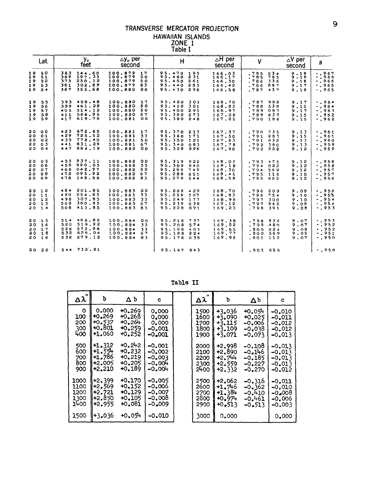## TRANSVERSE MERCATOR PROJECTION HAWAIIAN ISLANDS<br>
ZONE 1<br>
Table I

|    | Lat.                                               | y.<br>feet                                                                        | $\Delta$ y <sub>o</sub> per<br>second                                             | H                                                                                  | $\Delta$ H per<br>V<br>second                                                                                                   | $\Delta V$ per<br>a<br>second                                                                  |
|----|----------------------------------------------------|-----------------------------------------------------------------------------------|-----------------------------------------------------------------------------------|------------------------------------------------------------------------------------|---------------------------------------------------------------------------------------------------------------------------------|------------------------------------------------------------------------------------------------|
|    | 19 50<br>19.51<br>19, 52<br>19, 53<br>19.54        | 363<br>144.60<br>197.35<br>369<br>250.12<br>375<br>302.89<br>381<br>355.68<br>387 | 100.879<br>17<br>100.879<br>50<br>100.879<br>50<br>100.879<br>83<br>100.660<br>00 | 95.470 193<br>95.460Z31<br>95.450<br>261<br>95.440<br>283<br>95.430 298            | 166.03<br>234<br>.785<br>.785<br>166.17<br>785<br>166.30<br>.786<br>336<br>166.42<br>.786<br>887<br>166.58<br>.787<br>437       | $-1967$<br>9.18<br>$-7966$<br>9.18<br>$-1966$<br>9.18<br>$-0.965$<br>9.17<br>$-0.965$<br>9.18  |
| 19 | 1955<br>-56<br>19,57<br>1958<br>19.59              | 393 408.48<br>461.29<br>399<br>514.12<br>405<br>566.95<br>411<br>619.79<br>417    | 100.880<br>17<br>100.880<br>50<br>100.880<br>50<br>100.880<br>67<br>100.881<br>00 | 95.420<br>303<br>95.410<br>301<br>95,400<br>291<br>95.390<br>273<br>95.380 248     | 166.70<br>.787<br><b>988</b><br>166.83<br>.768<br>538<br>166.97<br>.789<br>087<br>167.08<br>637<br>.789<br>167.25<br>$.790$ 186 | $-1964$<br>9.17<br>$-1964$<br>9.15<br>$-0.963$<br>9.17<br>$-0.962$<br>9.15<br>$-0.962$<br>9.15 |
|    | 20 00<br>2001<br>20 02<br>20 03<br>20 04           | 423<br>672.65<br>725.52<br>429<br>435<br>778.40<br>831.29<br>441<br>447<br>884.19 | 100.881<br>17<br>100.881<br>33<br>100.881<br>50<br>100.881<br>67<br>100.88200     | 95.370 213<br>95.360 171<br>95.350<br>121<br>95.340<br>ი63<br>95.329 996           | 167.37<br>$.790$ $735$<br>167.50<br>283<br>.791<br>167.63<br>.791<br>832<br>1.67.78<br>.792<br>380<br>167.90<br>.792 928        | $-.961$<br>9.13<br>$-0.961$<br>9.15<br>$-0.960$<br>9.13<br>$-1959$<br>9.13<br>$-2959$<br>9.12  |
| 20 | 0 <sub>5</sub><br>20 06<br>20 07<br>20 08<br>20 09 | 453<br>937.11<br>459<br>990.03<br>042.97<br>466<br>095.92<br>472<br>148.88<br>478 | 100.882<br>00<br>100.882<br>33<br>100.882<br>50<br>100.882 67<br>100.882 83       | 95.319<br>922<br>95.309<br>840<br>95.299<br>749<br>95.289<br>651<br>95.279 544     | 168.03<br>.793<br>475<br>16B.1B<br>.794<br>022<br>168.30<br>.794<br>569<br>168.45<br>.795<br>116<br>168.58<br>.795<br>662       | $-0.958$<br>9.12<br>$-1958$<br>9.12<br>$-0.957$<br>9.12<br>$-957$<br>9.10<br>$-0.956$<br>9.12  |
|    | 2010<br>2011<br>20, 12<br>20, 13<br>2014           | 201.85<br>484<br>254.83<br>490<br>496<br>307.83<br>502<br>360.83<br>413.85<br>508 | 100.883<br>00<br>100.883<br>33<br>100.883<br>33<br>100.083<br>67<br>100.883<br>83 | 95.269<br>429<br>95.259<br>307<br>95.249<br>177<br>95.239<br>0.38<br>95.22B<br>891 | 168.70<br>.796<br>209<br>168.83<br>754<br>.796<br>168.98<br>.797<br>300<br>169.12<br>797846<br>169.23<br>.798<br>391            | $-0.956$<br>9.08<br>$-0.955$<br>9.10<br>$-0.954$<br>9.10<br>$-1954$<br>9.08<br>$- 953$<br>9.08 |
|    | 20, 15<br>2016<br>20, 17<br>30, 18<br>2019         | 466.88<br>514<br>519.92<br>520<br>572.96<br>526<br>626.04<br>532<br>679.12<br>538 | 100.884<br>o o<br>100.884<br>33<br>100.884<br>33<br>100.884<br>67<br>100.884 83   | 95.218<br>737<br>95.208<br>574<br>95.198.403<br>95.188<br>224<br>95.178 038        | 169.38<br>.798936<br>169.52<br>$,799 - 480$<br>169.65<br>.800034<br>169,77<br>.800 569<br>169.92<br>$.801$ $112$                | $-953$<br>9.07<br>$-0.952$<br>9.07<br>$-0.952$<br>9.08<br>$-0.951$<br>9.05<br>$-.950$<br>9.07  |
|    | 2020                                               | 544 732.21                                                                        |                                                                                   | 95.167 843                                                                         | .801656                                                                                                                         | $-0.950$                                                                                       |

Table II

| Δλ   | b        | ΔЪ       | c         | Δλ   | Þ.         | Δb       | c        |
|------|----------|----------|-----------|------|------------|----------|----------|
| O    | 0.000    | $+0.269$ | 0.000     | 1500 | $+3.036$   | 40.054   | $-0.010$ |
| 100  | $+0.269$ | $+0.268$ | 0.000     | 1600 | $+3,090$   | $+0.025$ | $-0.011$ |
| 200  | $+0.537$ | $+0.264$ | 0.000     | 1700 | $+3.115$   | $-0.006$ | $-0.012$ |
| 300  | $+0.801$ | $+0.259$ | $-0.001$  | 1800 | $+3.109$   | -0.038   | $-0.012$ |
| 400  | +1.060   | $+0.252$ | $-0.001$  | 1900 | +3.071     | $-0.073$ | $-0.013$ |
| 500  | +1.312   | $+0.242$ | $-0.001$  | 2000 | $+2.998$   | -0.108   | $-0.013$ |
| 600  | +1.554   | $+0.232$ | $-0.002$  | 2100 | $+2.890$   | -0.146   | $-0.013$ |
| 700  | $+1.786$ | $+0.219$ | $-0.003$  | 2200 | $+2, 744$  | $-0.185$ | $-0.013$ |
| 800  | $+2.005$ | $+0.205$ | $-0.00 +$ | 2300 | +2.559     | $-0.227$ | $-0.013$ |
| 900  | $+2.210$ | $+0.189$ | $-0.00 +$ | 2400 | $+2.332$   | $-0.270$ | $-0.012$ |
| 1000 | $+2.399$ | $+0.170$ | $-0.005$  | 2500 | +2.062     | $-0.316$ | -0.011   |
| 1100 | $+2.569$ | $+0.152$ | -0.006    | 2600 | $+1.7 + 6$ | -0.362   | $-0.010$ |
| 1200 | $+2.721$ | $+0.129$ | -0.007    | 2700 | +1.384     | -0.410   | $-0.008$ |
| 1300 | +2.850   | $+0.105$ | -0.008    | 2800 | $+0.974$   | -0.461   | $-0.006$ |
| 1400 | $+2.955$ | $+0.081$ | $-0.009$  | 2900 | $+0.513$   | $-0.513$ | $-0.003$ |
| 1500 | $+3.036$ | $+0.054$ | $-0.010$  | 3000 | 0.000      |          | 0.000    |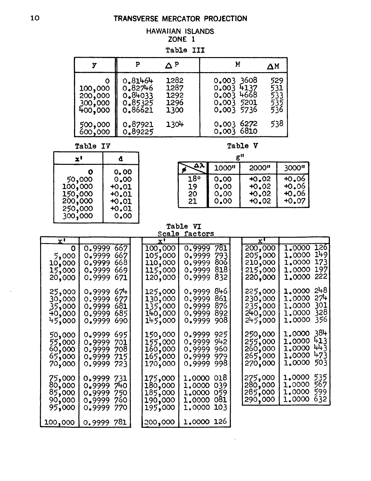#### **HAWAIIAN ISLANDS** ZONE 1

Table III

|                                               |                                                     | ΔΡ                                   |                                                                      | ΔΜ                              |
|-----------------------------------------------|-----------------------------------------------------|--------------------------------------|----------------------------------------------------------------------|---------------------------------|
| O<br>100,000<br>200,000<br>300,000<br>400,000 | 0.81464<br>0.82746<br>0.84033<br>0.85325<br>0.86621 | 1282<br>1287<br>1292<br>1296<br>1300 | 0.003 3608<br>0.003 4137<br>$0.003$ 4668<br>0.003 5201<br>0.003 5736 | 529<br>531<br>533<br>535<br>536 |
| 500,000<br>600,000                            | 0.87921<br>0.89225                                  | 1304                                 | 0.003 6272<br>0.0036810                                              | 538                             |

Table IV

| x'      | đ       |
|---------|---------|
| O       | 0.00    |
| 50,000  | 0.00    |
| 100,000 | +0.01   |
| 150,000 | $+0.01$ |
| 200,000 | $+0.01$ |
| 250,000 | +0.01   |
| 300,000 | 0.00    |

#### Table V

 $g^{tt}$ 

|     | 1000" | 2000"   | 3000"   |
|-----|-------|---------|---------|
| 18° | 0.00  | $+0.02$ | $+0.06$ |
| 19  | 0.00  | $+0.02$ | $+0.06$ |
| 20  | 0.00  | $+0.02$ | $+0.06$ |
| 21  | 0.00  | $+0.02$ | +0.07   |

### 

|                                                 |                                                                                          | pcate                                               | <b>IACTORS</b>                                                                     |                                                     |                                                                                          |
|-------------------------------------------------|------------------------------------------------------------------------------------------|-----------------------------------------------------|------------------------------------------------------------------------------------|-----------------------------------------------------|------------------------------------------------------------------------------------------|
| $\mathbf{x}^{\prime}$                           |                                                                                          | <u>x'</u>                                           |                                                                                    | x'                                                  |                                                                                          |
| O<br>5,000<br>10,000<br>15,000<br>20,000        | <b>667</b><br>0.9999<br>667<br>0.9999<br>668<br>0.9999<br>669<br>0.9999<br>671<br>0.9999 | 100,000<br>105,000<br>110,000<br>115,000<br>120,000 | 781<br>0.9999<br>793<br>0.9999<br>806<br>0.9999<br>818<br>0.9999<br>832<br>0.9999  | 200,000<br>205,000<br>210,000<br>215,000<br>220,000 | <b>126</b><br>1,0000<br>149<br>1.0000<br>173<br>1,0000<br>197<br>1.0000<br>222<br>1,0000 |
| 25,000<br>30,000<br>35,000<br>000,00∲<br>45,000 | 674<br>0.9999<br>677<br>0.9999<br>681<br>0.9999<br>685<br>0.9999<br>690<br>0.9999        | 125,000<br>130,000<br>135,000<br>140,000<br>145,000 | 846<br>0.9999<br>861<br>0.9999<br>876<br>0.9999<br>8921<br>0.9999<br>908<br>0.9999 | 225,000<br>230,000<br>235,000<br>240,000<br>245,000 | 248<br>1.0000<br>274<br>1,0000<br>301<br>1.0000<br>328<br>1,0000<br>356<br>1,0000        |
| 50,000<br>55,000<br>60,000<br>65,000<br>70,000  | 695<br>0.9999<br>0.9999<br>701<br>0.9999<br>708<br>715<br>0.9999<br>723<br>0.9999        | 150,000<br>155,000<br>160,000<br>165,000<br>170,000 | 925<br>0.9999<br>942<br>0.9999<br>960<br>0.9999<br>979.<br>0.9999<br>998<br>0.9999 | 250,000<br>255,000<br>260,000<br>265,000<br>270,000 | 1.0000 384<br>413<br>1,0000<br>443<br>1.0000<br>473<br>1.0000<br>503<br>1,0000           |
| 75,000<br>80,000<br>85,000<br>90,000<br>95,000  | 0.9999 731<br>0.9999 740<br>750<br>0.9999<br>760<br>0.9999<br>0.9999<br>770              | 175,000<br>180,000<br>185,000<br>190,000<br>195,000 | 1,0000 018<br>039<br>1.0000<br>059<br>1,0000<br>081<br>1,0000<br>1,0000<br>103     | 275,000<br>280,000<br>285,000<br>290,000            | 535<br>1,0000<br>567<br>1,0000<br>599<br>1,0000<br>1.0000<br>632                         |
| 100,000                                         | 0.9999 781                                                                               | 200,000                                             | 1.0000 126                                                                         |                                                     |                                                                                          |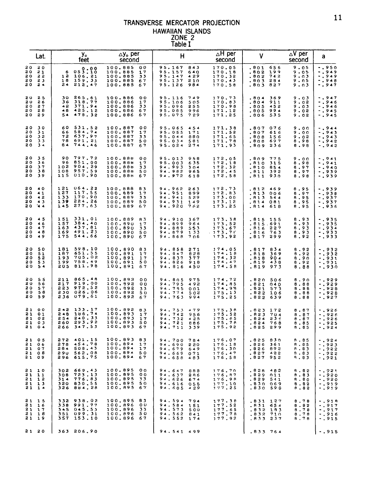## TRANSVERSE MERCATOR PROJECTION HAWAIIAN ISLANDS<br>ZONE 2<br>Table I

|                                     | Lat.                                          |                                        | y.<br>feet                                         | $\Delta$ y $_{\circ}$ per<br>second                                                                           | н                                                                                   | ∆H per<br>second                                  | v                                                                          | $\Delta V$ per<br>a<br>second                                                                    |
|-------------------------------------|-----------------------------------------------|----------------------------------------|----------------------------------------------------|---------------------------------------------------------------------------------------------------------------|-------------------------------------------------------------------------------------|---------------------------------------------------|----------------------------------------------------------------------------|--------------------------------------------------------------------------------------------------|
| 20<br><b>20</b><br>20<br>20<br>20   | 30<br>21<br>22<br>23<br>24                    | 6<br>12<br>18<br>24                    | 053:10<br>106.21<br>159.33<br>212.47               | 100.885<br>- 0 0<br>100.885<br>17<br>100.885<br>33<br>100.885<br>67<br>100.885<br>67                          | 95.167<br>843<br>95.157<br>640<br>95.147<br>429<br>95.137<br>210<br>95.126<br>984   | 170.05<br>170.18<br>170,32<br>170.43<br>170.58    | .801<br>656<br>.802<br>199<br>.803<br>742<br>.803<br>284<br>.803<br>827    | 9.05<br>$-1950$<br>$-0.949$<br>9.05<br>$-1949$<br>9.03<br>$-0.948$<br>9.N5<br>$-0.947$<br>9.03   |
| 20<br>20<br>20<br>20 D              | 25<br>26<br>27<br>28<br>20 29                 | 30<br>36<br>42<br>48<br>54             | 265.61<br>318.77<br>371.94<br>425.12<br>478.32     | 100.886<br>00<br>100.886<br>17<br>100.886<br>33<br>100.886<br>67<br>100.886<br>67                             | 95.116<br>749<br>95.106<br>505<br>95.096<br>255<br>95.085<br>996<br>95.075<br>729   | 170.73<br>170.83<br>170.98<br>171.12<br>171.25    | .804<br>369<br>911<br>.804<br>.805<br>452<br>.805<br>994<br>535<br>. 806   | $-0.947$<br>9.03<br>$-1946$<br>9.02<br>$-0.946$<br>9.03<br>$-0.945$<br>9.02<br>$-0.945$<br>9.02  |
| 20<br>20<br>30<br>20<br>20          | 30<br>31<br>32<br>33<br>34                    | 60<br>66<br>72<br>78<br>84             | 531.52<br>584.74<br>637.97<br>691,21<br>744.46     | 100.887<br>00<br>100.887<br>17<br>100.887<br>33<br>100.887<br>50<br>100.887<br>67                             | 95.065<br>454<br>95,055<br>171<br>95,044<br>880<br>95.034<br>581<br>95.024<br>274   | 171.38<br>171.52<br>171.65<br>171.78<br>171.93    | .807<br>076<br>.807<br>616<br>.808<br>156<br>697<br>. 808<br>.809 236      | $-0.944$<br>9.00<br>$-0.943$<br>9.00<br>$-0.943$<br>9.02<br>$-0.942$<br>8,98<br>$-0.942$<br>8.98 |
| 20<br>20<br>20<br>30<br>20          | 35<br>36<br>37<br>38<br>39                    | 90<br>96<br>102<br>108<br>115          | 797.72<br>851.00<br>904.29<br>957.59<br>010.90     | 100.888<br>0 <sub>0</sub><br>100.888<br>17<br>100,888<br>33<br>100.888<br>50<br>100.886<br>-67                | 95.013<br>958<br>95.003<br>635<br>94.993<br>304<br>94.982<br>965<br>94.972<br>618   | 172.05<br>172.18<br>172.32<br>172.45<br>172.58    | .809<br>775<br>.810<br>315<br>. 810<br>854<br>.811<br>392<br>930<br>. 811  | $-0.941$<br>9.00<br>8,98<br>$-0.941$<br>$-0.940$<br>8,97<br>$-0.939$<br>8.97<br>$-0.939$<br>8.98 |
| 3 O<br>20<br>20<br>20<br>2 O        | 40<br>41<br>42<br>43<br>44                    | 121<br>127<br>133<br>139<br>145        | 064.22<br>117.55<br>170.90<br>224,26<br>277,63     | 100,888<br>83<br>100.889<br>17<br>100.889<br>33<br>100.889<br>50<br>100,889<br>67                             | 94.962<br>263<br>94.951<br>899<br>94.941<br>529<br>94.931<br>149<br>94.920<br>762   | 172.73<br>172.83<br>173.00<br>173.12<br>173.25    | .812<br>-469<br>.813<br>006<br>.813<br>544<br>.814 081<br>.814<br>618      | $-1939$<br>8.95<br>$-0.938$<br>8.97<br>$-0.937$<br>8.95<br>$-0.937$<br>8,95<br>$-0.936$<br>8.95  |
| 20<br>20<br>20<br>20<br>20          | 45<br>46<br>47<br>48<br>49                    | 151<br>157<br>163<br>169<br>175        | 331.01<br>384.40<br>437.81<br>491.23<br>544.66     | 100,889<br>83<br>100.890<br>17<br>100.890<br>33<br>100.890<br>50<br>100,890<br>67                             | 94.910<br>367<br>94.899<br>964<br>94,889<br>553<br>94.879<br>133<br>94.868<br>7 ი 6 | 173.38<br>173.52<br>173.67<br>$-173.71$<br>173.92 | .815<br>155<br>.815.691<br>.816<br>- 2 2 7<br>.816<br>763<br>-817 299      | $-1935$<br>8,93<br>B.93<br>$-0.935$<br>$-0.934$<br>8,93<br>8.93<br>-.933<br>$-0.933$<br>8,92     |
| 20<br>20<br>20<br>20.<br>2 O        | 50<br>51<br>52<br>5 <sub>3</sub><br><b>54</b> | 181<br>187<br>193<br>199<br>205        | 598.10<br>651.55<br>705.02<br>758.49<br>811.98     | 100.890<br>83<br>100.891<br>17<br>100.891<br>17<br>100.891<br>50<br>100.891<br>-67                            | 94,858<br>271<br>94.847<br>828<br>94.837<br>377<br>94.826<br>918<br>94.816<br>450   | 174.05<br>174.18<br>174.32<br>174.47<br>174.58    | . 817<br>834<br>. 818<br>369<br>. 818<br>904<br>438<br>,819<br>.819<br>973 | 8.92<br>-.932<br>$-0.932$<br>8.92<br>$-0.931$<br>8,90<br>- , 931<br>8.92<br>8.88<br>-.930        |
| a o<br><b>20</b><br>20<br><b>20</b> | 55<br>56<br>57<br>58<br>20,59                 | 211<br>217<br>223<br>230<br>236        | 865.48<br>919.00<br>972,52<br>026.06<br>079.61     | 100.892<br>00<br>100, 892<br>0 <sub>0</sub><br>100,892<br>33<br>100.892<br>50<br>100.892<br>-67               | 94.805<br>975<br>94.795<br>492<br>94.795<br>001<br>94.774<br>502<br>94.763<br>994   | 174.72<br>174.85<br>174.98<br>175.13<br>175.25    | .820<br>506<br>.821<br>040<br>.821<br>573<br>.822<br>106<br>.822<br>639    | $-0.929$<br>8.90<br>8.88<br>-.929<br>$-0.928$<br>8.88<br>8.88<br>$-0.928$<br>8.88<br>-.927       |
| 21<br>21<br>21<br>21                | 00<br>01<br>02<br>03<br>21 04                 | 242<br>848<br>254<br>260<br>266        | 133.17<br>186.74<br>240.33<br>293.92<br>347.53     | 100.892<br>83<br>100.893<br>17<br>100.893<br>17<br>100.893<br>50<br>100.893 67                                | 94.753<br>479<br>94.742<br>956<br>94.732<br>425<br>94.721<br>886<br>94.711 339      | 175.38<br>175.52<br>175.65<br>175.78<br>175.92    | . 8 2 3<br>172<br>.823<br>704<br>.824<br>236<br>.824<br>768<br>.825 299    | $-0.926$<br>8,87<br>8.87<br>$-0.926$<br>$-0.926$<br>8.87<br>8.85<br>$-0.925$<br>$-0.924$<br>8,85 |
| 21<br>21<br>21<br>21<br>21          | <b>05</b><br>- 06<br>07<br>0 B<br><b>O</b> 9  | 272<br>278<br>284<br><b>290</b><br>296 | 401.15<br>454.78<br>508,43<br>562.08<br>615.75     | 100.893<br>83<br>100.894<br>17<br>100.894<br>17<br>100.894<br>50<br>100.894<br>67                             | 94,700<br>784<br>94.690<br>220<br>94,679<br>649<br>94,669<br>0.71<br>94.658<br>483  | 176.07<br>176.18<br>176.30<br>176.47<br>176.58    | .825<br>830<br>.826<br>361<br>.826<br>892<br>.827<br>4 3 2<br>827 952.     | 8.85<br>$-0.924$<br>8,85<br>$-0.923$<br>8.83<br>- 922<br>8.83<br>$-0.25$<br>9.83<br>-.921        |
| 21                                  | 21 10<br>11<br>21 12<br>2113<br>$21 \t14$     | 302<br>308<br>314<br>320               | 669.43<br>723.13<br>776.83<br>830.55<br>326 884.28 | 100.895<br>0 <sub>0</sub><br>100.895<br>00<br>100.895<br>33<br>100.895<br>-50<br>100.895<br>-67               | 94,647<br>888<br>94.637<br>2 R 6<br>94.626<br>674<br>94.616<br>055<br>94.605 429    | 176.70<br>176, 87<br>176.98<br>177.10<br>177.25   | .828.<br>-482<br>.829<br>011<br>.829<br>541<br>.830 069<br>.830<br>598     | 8.82<br>$-0.921$<br>8.83<br>-.920<br>8.80<br>- 920<br>8.82<br>-.919<br>8.82<br>- . 919           |
| 21<br>21                            | -15<br>21 16<br>17<br>21 18<br>21 19          | 332<br>338<br>3.45<br>351<br>357       | 938.02<br>991.77<br>045.53<br>099.31<br>153.10     | 100.895<br>-83<br>100.896<br>$\mathfrak{o}\,\mathfrak{o}$<br>100.896<br>33<br>50<br>100.896<br>100.896<br>-67 | 94.594<br>794<br>94.584<br>151<br>94.573<br>500<br>94.562<br>841<br>94.552<br>174   | 177.38<br>177.52<br>177.65<br>177.78<br>177.92    | 187<br>.831<br>654<br>.831<br>.832<br>183<br>710<br>.832<br>.833 237       | $-0.919$<br>8,78<br>$-0.917$<br>8.82<br>8.78<br>$-0.917$<br>8.78<br>-.916<br>8.78<br>-.915       |
| 21                                  | 20                                            | 363                                    | 206.90                                             |                                                                                                               | 94.541 499                                                                          |                                                   | .833 764                                                                   | -.915                                                                                            |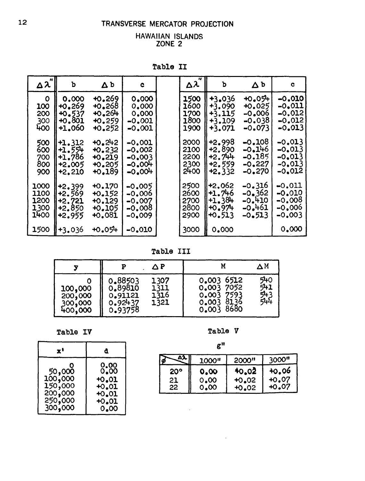#### TRANSVERSE MERCATOR PROJECTION

#### HAWAIIAN ISLANDS ZONE<sub>2</sub>

| $\Delta \lambda$ | b        | $\Delta b$ | c           | $\Delta \lambda$ | Ъ        | $\Delta$ b | c        |
|------------------|----------|------------|-------------|------------------|----------|------------|----------|
| $\mathbf{o}$     | 0,000    | 10.269     | 0.000       | 1500             | $+3.036$ | $+0.054$   | $-0.010$ |
| 100              | $+0.269$ | $+0.268$   | 0.000       | 1600             | +3.090   | $+0.025$   | -0.011   |
| 200              | $+0.537$ | 40.264     | 0.000       | 1700             | +3.115   | $-0.006$   | $-0.012$ |
| 300              | $+0.801$ | $+0.259$   | $-0.001$    | 1800             | $+3.109$ | $-0.038$   | $-0.012$ |
| 400              | +1.060   | +0.252     | -0.001      | 1900             | $+3.071$ | -0.073     | $-0.013$ |
| 500              | +1.312   | $+0.242$   | $-0.001$    | 2000             | +2.998   | $-0.108$   | $-0.013$ |
| 600              | +1.554   | $+0.232$   | -0.002      | 2100             | $+2.890$ | $-0.146$   | $-0.013$ |
| 700              | $+1.786$ | $+0.219$   | $-0.003$    | 2200             | $+2.744$ | $-0.185$   | $-0.013$ |
| 800              | $+2.005$ | $+0.205$   | $-0.00 +$   | 2300             | $+2.559$ | $-0.227$   | -0.013   |
| 900              | +2.210   | $+0.189$   | $-0.00^{+}$ | 2400             | +2.332   | $-0.270$   | $-0.012$ |
| 1000             | $+2.399$ | $+0.170$   | -0.005      | 2500             | +2.062   | -0.316     | $-0.011$ |
| 1100             | +2.569   | $+0.152$   | -0.006      | 2600             | $+1.746$ | $-0.362$   | -0.010   |
| 1200             | +2.721   | $+0.129$   | $-0.007$    | 2700             | $+1.38+$ | $-0.410$   | $-0.008$ |
| 1300             | $+2.850$ | $+0.105$   | -0.008      | 2800             | $+0.974$ | $-0.461$   | $-0.006$ |
| 1400             | +2.955   | +0.081     | $-0.009$    | 2900             | $+0.513$ | $-0.513$   | $-0.003$ |
| 1500             | +3.036   | $+0.054$   | $-0.010$    | 3000             | 0.000    |            | 0,000    |

Table II

Table III

|                                          |                                                     | ΔΡ                           |                                                                   | ΔΜ                       |
|------------------------------------------|-----------------------------------------------------|------------------------------|-------------------------------------------------------------------|--------------------------|
| 100,000<br>200,000<br>300,000<br>400,000 | 0.88503<br>0.89810<br>0.91121<br>0.92437<br>0.93758 | 1307<br>1311<br>1316<br>1321 | 0.003 6512<br>0.003 7052<br>0.003 7593<br>0.0038136<br>0.003 8680 | 540<br>541<br>543<br>544 |

Table IV

| x۱      | α            |
|---------|--------------|
| Ο       | 0,00         |
| 50,000  | 0.00         |
| 100,000 | <b>+0.01</b> |
| 150,000 | $+0.01$      |
| 200,000 | $+0.01$      |
| 250,000 | <b>+0.01</b> |
| 300,000 | 0.00         |

Table V

 $g^{\prime\prime}$ 

|     | 1000" | 2000"   | י000"   |
|-----|-------|---------|---------|
| 20° | 0.00  | 40.02   | 40.06   |
| 21  | 0.00  | $+0.02$ | $+0.07$ |
| 22  | 0.00  | $+0.02$ | +റ.07   |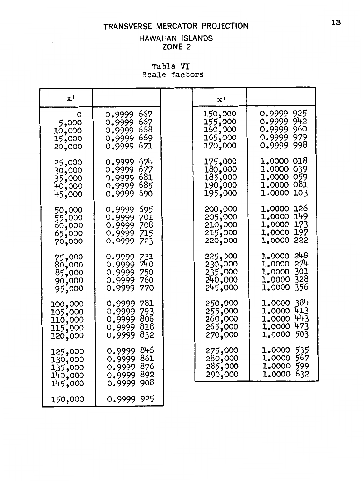#### TRANSVERSE MERCATOR PROJECTION

#### HAWAIIAN ISLANDS ZONE 2

Table VI Scale factors

| x'                                                  |                                                                                   | x'                                                  |                                                                                               |
|-----------------------------------------------------|-----------------------------------------------------------------------------------|-----------------------------------------------------|-----------------------------------------------------------------------------------------------|
| O<br>5,000<br>10,000<br>15,000<br>20,000            | 667<br>0.9999<br>667<br>0.9999<br>668<br>0.9999<br>669<br>0.9999<br>671<br>0.9999 | 150,000<br>155,000<br>160,000<br>165,000<br>170,000 | 925<br>0.9999<br>942<br>0.9999<br>0.9999<br>960<br>979<br>0.9999<br>998<br>0.9999             |
| 25,000<br>30,000<br>35,000<br>40,000<br>45,000      | 674<br>0.9999<br>677<br>0.9999<br>681<br>0.9999<br>685<br>0.9999<br>690<br>0.9999 | 175,000<br>180,000<br>185,000<br>190,000<br>195,000 | 1,0000 018<br>1,0000 039<br>1,0000 059<br>1,0000 081<br>103<br>1.0000                         |
| 50,000<br>55,000<br>60,000<br>65,000<br>70,000      | 695<br>0.9999<br>0.9999<br>701<br>0.9999<br>708<br>0.9999<br>715<br>723<br>0.9999 | 200,000<br>205,000<br>210,000<br>215,000<br>220,000 | 126<br>1.0000<br>149<br>1.0000<br>173<br>1,0000<br>1,0000<br>197<br>222<br>1.0000             |
| 75,000<br>80,000<br>85,000<br>90,000<br>95,000      | 731<br>0.9999<br>740<br>0.9999<br>0.9999<br>750<br>760<br>0.9999<br>0.9999<br>770 | 225,000<br>230,000<br>235,000<br>240,000<br>245,000 | 248<br>1,0000<br>27 <sup>1</sup><br>1.0000<br>301<br>1.0000<br>328<br>1.0000<br>356<br>1.0000 |
| 100,000<br>105,000<br>110,000<br>115,000<br>120,000 | 781<br>0.9999<br>0.9999<br>793<br>806<br>0.9999<br>818<br>0.9999<br>832<br>0.9999 | 250,000<br>255,000<br>260,000<br>265,000<br>270,000 | 384<br>1.0000<br>413<br>1.0000<br>443<br>1,0000<br>473<br>1.0000<br>503<br>1.0000             |
| 125,000<br>130,000<br>135,000<br>140,000<br>145,000 | 846<br>0.9999<br>861<br>0.9999<br>876<br>0.9999<br>892<br>0.9999<br>908<br>0.9999 | 275,000<br>280,000<br>285,000<br>290,000            | 535<br>1,0000<br>567<br>1.0000<br>599<br>1,0000<br>632<br>1,0000                              |
| 150,000                                             | 925<br>0.9999                                                                     |                                                     |                                                                                               |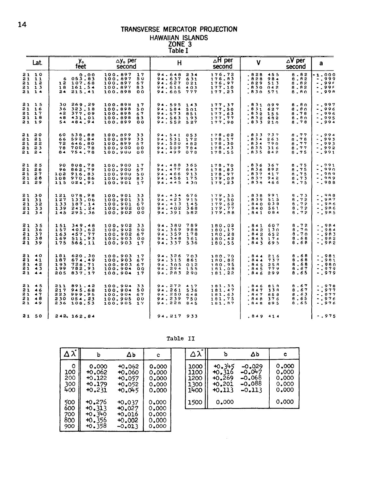## TRANSVERSE MERCATOR PROJECTION HAWAIIAN ISLANDS<br>
ZONE 3<br>
Table I

| Lat.                                          |                                 | y.<br>feet               |                                                    | $\Delta$ y <sub>o</sub> per<br>second                           |                            |  | н                                              |                                                          | $\Delta H$ per<br>second                       | v                                                                   | $\Delta V$ per<br>second                    | a                                                        |
|-----------------------------------------------|---------------------------------|--------------------------|----------------------------------------------------|-----------------------------------------------------------------|----------------------------|--|------------------------------------------------|----------------------------------------------------------|------------------------------------------------|---------------------------------------------------------------------|---------------------------------------------|----------------------------------------------------------|
| 21 10<br>21 11<br>21 12<br>21 13<br>$21 \t14$ | 6<br>12<br>18<br>24             | 053.83<br>107.68         | 0.00<br>161.54<br>215.41                           | 100.897<br>100.897<br>100.897<br>100.897<br>100.898             | 17<br>50<br>67<br>83<br>00 |  | 94.637<br>94.627<br>94.616                     | 94.648 234<br>631<br>021<br>403<br>94.605 777            | 176.72<br>176.83<br>176.97<br>177.10<br>177.23 | .828.<br>455<br>. 828<br>984<br>.829<br>513<br>.830 042<br>.830 571 | 8,82<br>8,82<br>8.82<br>8.82<br>8.80        | $-1.000$<br>$-0.999$<br>$-0.99f$<br>$-0.99F$<br>-.99A    |
| 21 15<br>21 16<br>21 17<br>21 18<br>21 19     | 30<br>36<br>42<br>48<br>54      |                          | 269.29<br>323.18<br>377.09<br>431.01<br>484.94     | 100.898<br>100.898<br>100.898<br>100.898<br>100.899             | 17<br>50<br>67<br>83<br>00 |  | 94.595<br>94.584<br>94.573<br>94.563<br>94.552 | 143<br>501<br>851<br>193<br>527                          | 177.37<br>177.50<br>177.63<br>177.77<br>177.90 | .831 099<br>.831 627<br>.832 155<br>.832 682<br>.833 210            | 8.80<br>8.80<br>8.78<br>8.80<br>8.78        | -.997<br>$-0.996$<br>$-0.996$<br>$-1995$<br>$-1994$      |
| 21 20<br>2121<br>21 22<br>2123<br>21 24       | 60<br>66<br>72<br>78<br>84      |                          | 538.88<br>592.84<br>646.80<br>700.78<br>754.78     | 100.899<br>100.899<br>100.899<br>100.900<br>100.900 00          | 33<br>33<br>67<br>00       |  | 94.541<br>94.531<br>94.520<br>94.509           | 853<br>172<br>482<br>784<br>94.499 078                   | 178.02<br>178.17<br>178.30<br>178.43<br>178.55 | .833 737<br>.834263<br>.834 790<br>.835<br>316<br>.835 842          | 8.77<br>8.78<br>8.77<br>8.77<br>8.75        | $-0.994$<br>$-0.993$<br>$-0.993$<br>$-0.992$<br>$-0.991$ |
| 21 25<br>21 26<br>21 27<br>2128<br>21 29      | 90<br>96<br>102<br>108          |                          | 808.78<br>862.79<br>916.83<br>970.86<br>115 024.91 | 100.900 17<br>100.900<br>100.900<br>100.900 83<br>100.901       | 67<br>50<br>$-1.7$         |  | 94,488<br>94.477<br>94.466<br>94,456           | 365<br>643<br>913<br>175<br>94.445 430                   | 178.70<br>178.83<br>178.97<br>179.08<br>179.23 | .836 367<br>.836 892<br>.837<br>417<br>.837 942<br>.839 466         | 8,75<br>8.75<br>8.75<br>8,73<br><b>B.75</b> | $-0.991$<br>$-0.990$<br>$-0.989$<br>$-.989$<br>$-0.988$  |
| 21, 30<br>21 31<br>2132<br>21 33<br>2134      | 121<br>127<br>133<br>139<br>145 |                          | 078.98<br>133.06<br>187.14<br>241,24<br>295.36     | 100.901 33<br>100.901<br>100.901 67<br>100.902<br>100.902       | - 33<br>- 0 0<br>- 00      |  | 94.402<br>94.391                               | 94.434 676<br>$94.423$ 915<br>$94.413$ 145<br>368<br>582 | 179.35<br>179.50<br>179.62<br>179.77<br>179.88 | .838 991<br>.839 515<br>.840 038<br>840 561<br>841 084              | 8.73<br>8,72<br>8.72<br>8.72<br>8.72        | $- 988$<br>$-0.9B7$<br>$-0.986$<br>-.9R6<br>$-2985$      |
| 2135<br>21, 36<br>21, 37<br>21, 38<br>2139    | 151<br>157<br>163<br>169<br>175 |                          | 349.48<br>403.62<br>457.77<br>511.93<br>566.11     | 100.902 33<br>100.902<br>100.902 67<br>100.903<br>100.903 17    | 50<br>00                   |  | 94.380<br>94.369<br>94.359<br>94.348<br>94.337 | 789<br>988<br>178<br>361<br>536                          | 180.02<br>180.17<br>180.28<br>180.42<br>180.55 | .841 607<br>.842 130<br>.842 652<br>.843 174<br>843 695             | 8.72<br>8.70<br>$-8.70$<br>8.68<br>8.68     | $-0.984$<br>$-0.984$<br>-.983<br>$-.982$<br>-.982        |
| 21 40<br>21 41<br>21 42<br>2143<br>21.44      | 181<br>187<br>193<br>199<br>205 |                          | 620.30<br>674.49<br>728.71<br>782,93<br>837.17     | 100.903 17<br>100.903 67<br>100.903 67<br>100.904 00<br>100.904 | 17                         |  | 94.326<br>94.315<br>94.305<br>94.294           | 703<br>861<br>012<br>155<br>94.283 290                   | 180.70<br>180.82<br>180.95<br>181.08<br>181.22 | .844216<br>.844<br>737<br>.845 25R<br>.845<br>779<br>.846.299       | 8,68<br>8.68<br>8,68<br>8.67<br>8.65        | $-0.981$<br>$-0.981$<br>$-0.980$<br>- 979<br>$-0.979$    |
| 21 45<br>21 46<br>2147<br>21 48<br>21 49      | 211<br>217                      | 223 999.95<br>230 054.23 | 891.42<br>945.68<br>236 108.53                     | 100.904<br>100.904<br>100.904<br>100.905<br>100.905 17          | 33<br>50<br>67<br>00       |  | 94.261<br>94.250<br>94.239<br>94.228           | 94.272.417<br>536<br>648<br>750<br>845                   | 181.35<br>181.47<br>181.63<br>181.75<br>181.87 | .846 818<br>.847<br>33 A<br>847 858<br>.848 376<br>848 895          | 8.67<br>8.67<br>8.63<br>8.65<br>8.65        | $-0.978$<br>$-0.977$<br>- . 977<br>$-0.976$<br>$-0.976$  |
| 21,50                                         |                                 | 242, 162.84              |                                                    |                                                                 |                            |  |                                                | 94.217 933                                               |                                                | 849414                                                              |                                             | -.975                                                    |

Table II

| $\Delta \lambda$                    | ъ                                                      | $\Delta b$                                               | c                                         | Δλ                                   | ъ                                                      | Δb                                                   | c                                         |
|-------------------------------------|--------------------------------------------------------|----------------------------------------------------------|-------------------------------------------|--------------------------------------|--------------------------------------------------------|------------------------------------------------------|-------------------------------------------|
| $\circ$<br>100<br>200<br>300<br>400 | 0.000<br>$+0.062$<br>$+0.122$<br>$+0.179$<br>$+0.231$  | $+0.062$<br>40.060<br>$+0.057$<br>$+0.052$<br>40.045     | 0.000<br>0.000<br>0.000<br>0.000<br>0.000 | 1000<br>1100<br>1200<br>1300<br>1400 | $+0.345$<br>$+0.316$<br>$+0.269$<br>$+0.201$<br>+0.113 | $-0.029$<br>$-0.047$<br>-0.068<br>-0.088<br>$-0.113$ | 0.000<br>0.000<br>0.000<br>0.000<br>0.000 |
| 500<br>600<br>700<br>800<br>900     | +0.276<br>$+0.313$<br>$+0.340$<br>$+0.356$<br>$+0.358$ | $+0.037$<br>$+0.027$<br>$+0.016$<br>$+0.002$<br>$-0.013$ | 0.000<br>0.000<br>0.000<br>0.000<br>0.000 | 1500                                 | 0.000                                                  |                                                      | 0.000                                     |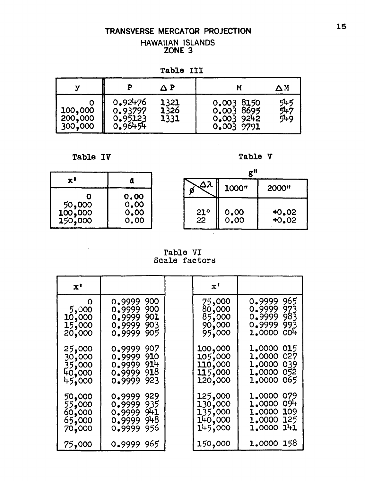## TRANSVERSE MERCATOR PROJECTION HAWAIIAN ISLANDS<br>ZONE 3

Table III

|                               |                                          | ΛP                   |                                                      | $\Delta$ M        |
|-------------------------------|------------------------------------------|----------------------|------------------------------------------------------|-------------------|
| 100,000<br>200,000<br>300,000 | 0.92476<br>0.93797<br>0.95123<br>0.96454 | 1321<br>1326<br>1331 | 0.003 8150<br>0.003 8695<br>0.003 9242<br>0.003 9791 | 545<br>547<br>549 |

**Table IV** 

 $\mathcal{L}_{\mathcal{A}}$ 

Table V

|                              |                              |                 | g‼           |                    |  |
|------------------------------|------------------------------|-----------------|--------------|--------------------|--|
| x'                           |                              |                 | 1000"        | 2000"              |  |
| 50,000<br>100,000<br>150,000 | 0.00<br>0.00<br>0.00<br>0.00 | $\frac{21}{22}$ | 0.00<br>0.00 | $+0.02$<br>$+0.02$ |  |

Table VI<br>Scale factors

| $\mathbf{x}$ <sup>1</sup>                      |                                                                                   | $\mathbf{x}^{\mathbf{t}}$                           |                                                                                   |
|------------------------------------------------|-----------------------------------------------------------------------------------|-----------------------------------------------------|-----------------------------------------------------------------------------------|
| O<br>5,000<br>10,000<br>15,000<br>20,000       | 0.9999<br>900<br>900<br>0.9999<br>901<br>0.9999<br>0.9999<br>903<br>905<br>0.9999 | 75,000<br>80,000<br>85,000<br>90,000<br>95,000      | 965<br>0.9999<br>0.9999<br>973<br>0.9999 983<br>0.9999<br>993<br>004<br>1.0000    |
| 25,000<br>30,000<br>35,000<br>40,000<br>45,000 | 907<br>0.9999<br>910<br>0.9999<br>914<br>0.9999<br>918<br>0.9999<br>923<br>0.9999 | 100,000<br>105,000<br>110,000<br>115,000<br>120,000 | 1,0000 015<br>1,0000 027<br>1,0000 039<br>1,0000 052<br>1,0000 065                |
| 50,000<br>55,000<br>60,000<br>65,000<br>70,000 | 929<br>0.9999<br>935<br>0.9999<br>0.999999<br>948<br>0.9999<br>956<br>0.9999      | 125,000<br>130,000<br>135,000<br>140,000<br>145,000 | 1.0000<br>079<br>094<br>1.0000<br>109<br>1.0000<br>125<br>1.0000<br>141<br>1.0000 |
| 75,000                                         | 0.9999 965                                                                        | 150,000                                             | 1.0000 158                                                                        |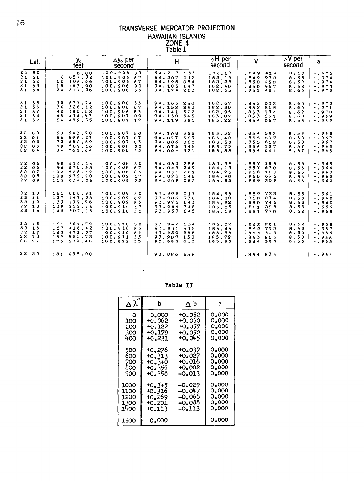## TRANSVERSE MERCATOR PROJECTION HAWAIIAN ISLANDS<br>
ZONE 4<br>
Table I

| Lat.                                                           | y。<br>feet                                                                        | $\Delta$ y. per<br>second                                                             | H                                                                                 | $\overline{\triangle}$ H per<br>second         | $\mathbf{V}$                                                             | $\Delta V$ per<br>a<br>second                                                                    |
|----------------------------------------------------------------|-----------------------------------------------------------------------------------|---------------------------------------------------------------------------------------|-----------------------------------------------------------------------------------|------------------------------------------------|--------------------------------------------------------------------------|--------------------------------------------------------------------------------------------------|
| 21,50<br>21<br>51<br>21<br>52<br>21<br>5 <sub>3</sub><br>21,54 | 0.00<br>6054, 32<br>12 108.66<br>163.00<br>18<br>24217.36                         | 100.905<br>33<br>100.905<br>67<br>100.905<br>67<br>100.906<br>00<br>100.906 33        | 94.217<br>933<br>94.207<br>012<br>94.196<br>084<br>94.185<br>147<br>94.174 203    | 182.02<br>182.13<br>182.28<br>182.40<br>182.55 | .849414<br>, 849<br>932<br>.850<br><b>450</b><br>.850<br>967<br>.851 484 | $-0.975$<br>9.63<br>8.63<br>$-0.974$<br>8.62<br>$-0.974$<br>$-0.975$<br>8.62<br>8.63<br>$-0.972$ |
| 21, 55<br>21 56<br>21, 57<br>21,58<br>21,59                    | 30<br>271.74<br>326.12<br>36<br>380.52<br>42<br>434.93<br>48<br>489.35<br>54      | 100.906<br>33<br>100.906<br>67<br>100.906<br>83<br>100.907 00<br>$100.907$ 17         | 94.163 250<br>94.152 290<br>94.141<br>322<br>94,130<br>345<br>94.119 361          | 182.67<br>182.80<br>182.95<br>183.07<br>183.22 | .852 002<br>.852 518<br>.853034<br>.853 551<br>.854 067                  | $-0.972$<br>8.60<br>8.60<br>$-0.971$<br>8.62<br>$-0.970$<br>$-0.969$<br>8.60<br>8.58<br>$-0.969$ |
| <b>32 00</b><br>2201<br>22 02<br>2203<br>22 04                 | 60 543 78<br>598.23<br>66<br>652.69<br>72<br>78<br>707.16<br>84<br>761.64         | 100.907<br>50<br>100,907<br>67<br>100.907<br>83<br>100.908<br>00<br>100.908<br>33     | 94.108<br>368<br>94.097<br>369<br>94.086<br>360<br>94.075<br>345<br>$94.064$ 321  | 183.32<br>183.48<br>183.58<br>183.73<br>183.88 | .854 582<br>.855 097<br>.855 612<br>$.856$ 127<br>.856 641               | $-0.68$<br>8.58<br>8.58<br>$-0.967$<br>8.58<br>$-0.967$<br>$-0.966$<br>8.57<br>9.57<br>$-0.965$  |
| 2205<br>22 06<br>22 07<br>22 08<br>22<br>09                    | 90<br>816.14<br>96 870.65<br>102 925.17<br>108 979.70<br>115034.25                | 100.908<br>50<br>100.908<br>67<br>100.908<br>83<br>100.909<br>17<br>100.909 33        | 94.053 288<br>94.042 249<br>94.031<br>201<br>94.020 146<br>94.009 082             | 183.98<br>184.13<br>184.25<br>184.40<br>184.52 | $.857$ 155<br>.85767<br>.858<br>183<br>.858 696<br>.859 209              | 8.58<br>$-0.965$<br>$-0.964$<br>8.55<br>$-0.963$<br>8.55<br>8.55<br>$-0.962$<br>8.55<br>$-0.962$ |
| 2210<br>2211<br>3212<br>2213<br>2214                           | 121<br>088.81<br>143.38<br>127<br>197.96<br>133<br>252.55<br>139<br>145 307.16    | 100.909 50<br>100.909<br>67<br>100.909<br><b>B</b> 3<br>100.910<br>17<br>100.910 50   | 93.998<br>011<br>93.986<br>932<br>93.975<br>843<br>93.964<br>748<br>93.953<br>645 | 184.65<br>184.82<br>184.92<br>185.05<br>185.18 | .859 732<br>234<br>. 860<br>.860<br>746<br>.861 25B<br>.861 770          | 8.53<br>$-0.961$<br>8.53<br>$-0.960$<br>8.53<br>$-0.960$<br>8.53<br>$-0.959$<br>8.52<br>$-.958$  |
| 2215<br>2216<br>22 17<br>2218<br>22 19                         | 361.79<br>151<br>416.42<br>157<br>471.07<br>163<br>525.72<br>169<br>580.40<br>175 | 100.910<br><b>SO</b><br>100.910<br>83<br>100.910<br>83<br>100.911<br>33<br>100.911 33 | 93.942<br>534<br>93.931 415<br>93.920<br>288<br>93.909<br>153<br>93.898 010       | 195.32<br>185.45<br>185.58<br>185.72<br>185.85 | .862 281<br>.862 792<br>.063<br>303<br>.863813<br>$.864$ 323             | $-1958$<br>B.52<br>8.52<br>$-1957$<br>8.50<br>$-0.956$<br>8.50<br>$-0.955$<br>8.50<br>$-0.955$   |
| 5220                                                           | 181 635.08                                                                        |                                                                                       | 93.886 859                                                                        |                                                | .864 833                                                                 | $-1954$                                                                                          |

Table II

 $\hat{\mathcal{L}}$ 

|      | Ъ             | ∆ b      | C.    |
|------|---------------|----------|-------|
| O    | 0.000         | +0.062   | 0.000 |
| 100  | +0.062        | +0.060   | 0.000 |
| 200  | +0.122        | +0.057   | 0.000 |
| 300  | +0.179        | +0.052   | 0.000 |
| 400  | ю.231         | 40.045   | 0.000 |
| 500  | +0.276        | +0.037   | 0.000 |
| 600  | $+0.313$      | +0.027   | 0.000 |
| 700  | +0.340        | 40.016   | 0.000 |
| 800  | 40.356        | +0.002   | 0.000 |
| 900  | +0.358        | -0.013   | 0.000 |
| 1000 | +0.345        | -0.029   | 0.000 |
| 1100 | +0.316        | $-0.047$ | 0.000 |
| 1200 | $+0.269$      | -0.068   | 0.000 |
| 1300 | <b>+0.201</b> | -0.088   | 0.000 |
| 1400 | +0.113        | -0.113   | 0.000 |
| 1500 | 0.000         |          | 0.000 |

 $\hat{\mathcal{A}}$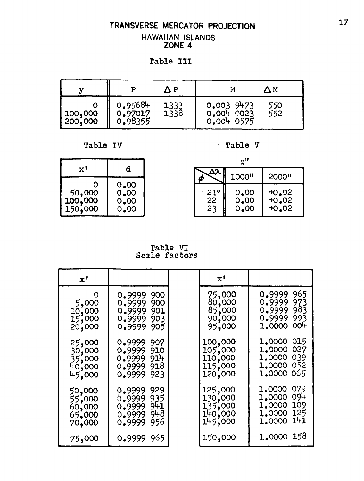#### TRANSVERSE MERCATOR PROJECTION **HAWAIIAN ISLANDS** ZONE 4

Table III

| 77      |                               |              |                                          | ΔМ         |
|---------|-------------------------------|--------------|------------------------------------------|------------|
| 100,000 | 0.95684<br>0.97017<br>0.98355 | 1333<br>1338 | $0.003$ $9473$<br>0.0040023<br>0.0040575 | 550<br>552 |

Table IV

Table V

| x'                                  | đ                            |
|-------------------------------------|------------------------------|
| $\frac{50,000}{100,000}$<br>150,000 | 0.00<br>0.00<br>0.00<br>0.00 |

 $\bar{\psi}$ 

 $g$ <sup>11</sup>  $\overline{\mathsf{A}\mathsf{X}}$ 1000" 2000" φ  $0.00$ <br> $0.00$  $^{+0.02}_{+0.02}$  $21^\circ$  $2\overline{2}$ 23  $0.00$  $+0.02$ 

 $\bar{z}$ 

÷.

Table VI<br>Scale factors

| $\mathbf{x}$ '                                 |                                                                                   | $\mathbf{x}^{\mathbf{t}}$                                  |                                                                                            |
|------------------------------------------------|-----------------------------------------------------------------------------------|------------------------------------------------------------|--------------------------------------------------------------------------------------------|
| O<br>5,000<br>10,000<br>15,000<br>20,000       | 0.9999<br>900<br>0.9999<br>900<br>0.9999 901<br>0.9999<br>903<br>0.9999<br>905    | 75,000<br>०,००० <sub>•</sub><br>85,000<br>90,000<br>95,000 | 965<br>0.9999<br>973<br>0.9999<br>0.9999 983<br>993<br>0.9999<br>00 <sup>1</sup><br>1,0000 |
| 25,000<br>30,000<br>35,000<br>40,000<br>45,000 | 0.9999<br>907<br>0.9999<br>910<br>914<br>0.9999<br>0.9999<br>918<br>923<br>0.9999 | 100,000<br>105,000<br>110,000<br>115,000<br>120,000        | 1,0000 015<br>1,0000 027<br>1,0000 039<br>1,0000 052<br>1,0000 065                         |
| 50,000<br>55,000<br>60,000<br>65,000<br>70,000 | 0.9999<br>929<br>935<br>0.9999<br>0.999999<br>948<br>0.9999<br>956<br>0.9999      | 125,000<br>130,000<br>135,000<br>140,000<br>145,000        | 079<br>1.0000<br>094<br>1,0000<br>1,0000 109<br>1,0000 125<br>141<br>1,0000                |
| 75,000                                         | 0.9999 965                                                                        | 150,000                                                    | 1.0000 158                                                                                 |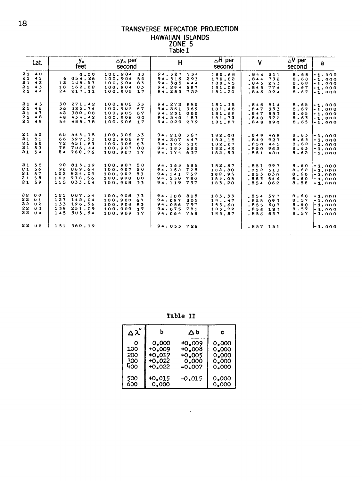## TRANSVERSE MERCATOR PROJECTION HAWAIIAN ISLANDS<br>
ZONE 5<br>
Table I

| Lat.                                            | y。<br>feet                                                                        | $\Delta$ y <sub>o</sub> per<br>second                                                         | H                                                                                       | $\overline{H}$ per<br>second                    | $\mathsf{V}$                                                          | $\Delta V$ per<br>a<br>second                                                                                                                               |
|-------------------------------------------------|-----------------------------------------------------------------------------------|-----------------------------------------------------------------------------------------------|-----------------------------------------------------------------------------------------|-------------------------------------------------|-----------------------------------------------------------------------|-------------------------------------------------------------------------------------------------------------------------------------------------------------|
| 21 40<br>2141<br>21 42<br>2143<br>21 44         | 0.00<br>6054.26<br>108.53<br>12<br>162.82<br>18<br>24<br>217.11                   | 100.904<br>33<br>100.904<br>50<br>100.904<br>83<br>100.904<br>83<br>100.905<br>17             | 94.327<br>134<br>94.316<br>293<br>94, 305<br>444<br>94.294<br>587<br>94.283 722         | 180.68<br>180,82<br>180.95<br>181.08<br>181.20  | .844<br>211<br>.844<br>732<br>.845<br>253<br>.845 774<br>.846<br>294  | 8.68<br>$-1.000$<br>8.68<br>$1 - 1.000$<br>8.68<br>$ -1.000$<br>8.67<br>$\mathbf{I} \cdot \mathbf{1} \cdot \mathbf{0} \cdot \mathbf{0}$<br>8.67<br>$-1.000$ |
| 2145<br>21 46<br>2147<br>21 48<br>2149          | 30<br>271.42<br>325.74<br>36<br>380.08<br>42<br>434.42<br>4B<br>488.78<br>54      | 100.905<br>33<br>100.905<br>67<br>100.905<br>67<br>100.906<br>0 <sub>0</sub><br>100,906<br>17 | 94.272<br>850<br>94.261<br>969<br>94.251<br>080<br>94.240<br>$\div$ 83<br>94.229<br>279 | 181.35<br>181.48<br>181.62<br>181.73<br>181.87  | .846 814<br>.847<br>333<br>.847853<br>.848 372<br>.848 890            | 8.65<br>$ -1.000$<br>8.67<br>$1 - 1.000$<br>8.65<br>$-1.000$<br>8.63<br>$-1.000$<br>8.65<br>$1 - 1.000$                                                     |
| 2150<br>21<br>51<br>21,52<br>21,53<br>$21 \t54$ | 543, 15<br>60<br>597.53<br>66<br>72<br>651.93<br>706.34<br>78<br>84<br>760.76     | 100.906<br>33<br>100.906<br>67<br>100.906<br>83<br>100.907<br>00<br>100.907<br>17             | 94.218<br>367<br>94.207<br>447<br>94.196<br>518<br>94.185<br>582<br>94.174<br>637       | 182.00<br>182.15<br>182.27<br>182.42<br>182.53  | .849 409<br>.849 927<br>.850445<br>.850 962<br>.851<br>480            | 8,63<br>$-1.000$<br>8.63<br>$ -1.000$<br>8.62<br>$-1.000$<br>8.63<br>$-1.000$<br>8.62<br>$[-1.000$                                                          |
| 21, 55<br>21<br>56<br>21, 57<br>21,58<br>2159   | 90<br>815.19<br>869.64<br>96<br>102<br>924.09<br>108 978.56<br>115<br>033.04      | 100.907<br>50<br>100.907<br>5υ<br>100.907<br>83<br>100.908<br>00<br>100.908<br>-33            | 94.163<br>685<br>94.152<br>725<br>94.141<br>757<br>94.130<br>780<br>94.119 797          | 182.67<br>182.80<br>182.95<br>183.05<br>183.20  | .851<br>997<br>.852<br>513<br>.853<br>030<br>.853546<br>.854<br>062   | 8.60<br>1-1.000<br>8.62<br>$-1.000$<br>8.60<br>$1 - 1.000$<br>6.60<br>$1 - 1.000$<br>8.58<br>$-1.000$                                                       |
| 22 00<br>22 U1<br>22 02<br>22 03<br>2204        | 087.54<br>121<br>142.04<br>127<br>133<br>196.56<br>251.09<br>139<br>145<br>305.64 | 100.908<br>33<br>100.908<br>67<br>100.908<br><b>B</b> 3<br>100.909<br>17<br>100.909<br>17     | 94.108<br>805<br>94.097<br>805<br>94.086<br>797<br>94,075<br>781<br>94.064<br>758       | 183.33<br>18.3.47<br>183.60<br>183.72<br>153.87 | .854<br>577<br>093<br>.855<br>.855<br>507<br>$.856$ 123<br>$.856$ 637 | 9.60<br>$-1.000$<br>8.57<br>$1 - 1.000$<br>8.60<br>$-1.000$<br>8.57<br>$-1.000$<br>8.57<br>l-1.000                                                          |
| 2205                                            | 151 360.19                                                                        |                                                                                               | 94.053 726                                                                              |                                                 | $.857$ 151                                                            | $1 - 1.000$                                                                                                                                                 |

Table II

| ∆ ລ″ | b        | Δb       | c     |
|------|----------|----------|-------|
| Ο    | 0.000    | $+0.009$ | 0.000 |
| 100  | $+0.009$ | $+0.008$ | 0.000 |
| 200  | $+0.017$ | $+0.005$ | 0.000 |
| 300  | $+0.022$ | 0.000    | 0.000 |
| 400  | 40.022   | $-0.007$ | 0.000 |
| 500  | +0.015   | -0.015   | 0.000 |
| 600  | 0.000    |          | 0.000 |

 $\sim 10^{11}$  km s  $^{-1}$ 

 $\mathcal{L}^{\text{max}}_{\text{max}}$  ,  $\mathcal{L}^{\text{max}}_{\text{max}}$ 

 $\sim$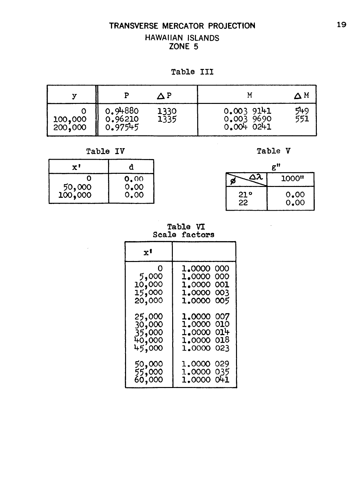#### **TRANSVERSE MERCATOR PROJECTION HAWAIIAN ISLANDS ZONE 5**

Table **I11** 

|                    |                               |              |                                           | $\Delta$ M |
|--------------------|-------------------------------|--------------|-------------------------------------------|------------|
| 100,000<br>200,000 | 0.94880<br>0.96210<br>0.97545 | 1330<br>1335 | 0.0039141<br>0.003 9690<br>$0.004$ $0241$ | 549<br>551 |

Table IV Table V

| x'                |                 |
|-------------------|-----------------|
| 50,000<br>100,000 | 0.00000<br>0.00 |

|           | Ħ            |
|-----------|--------------|
| ده        | 1000"        |
| 21°<br>22 | 0.00<br>0.00 |

**Table VI Scale factors** 

| x'                                             |                                                                                |
|------------------------------------------------|--------------------------------------------------------------------------------|
| O<br>5,000<br>10,000<br>15,000<br>20,000       | 1,0000 000<br>1.0000 000<br>1.0000 001<br>1,0000 003<br>1.0000<br>005          |
| 25,000<br>30,000<br>35,000<br>40,000<br>45,000 | 1.0000<br>007<br>1.0000<br>010<br>1.0000 014<br>018<br>1.0000<br>023<br>1.0000 |
| 50,000<br>55,000<br>60,000                     | 1,0000 029<br>1,0000 035<br>1.0000 041                                         |